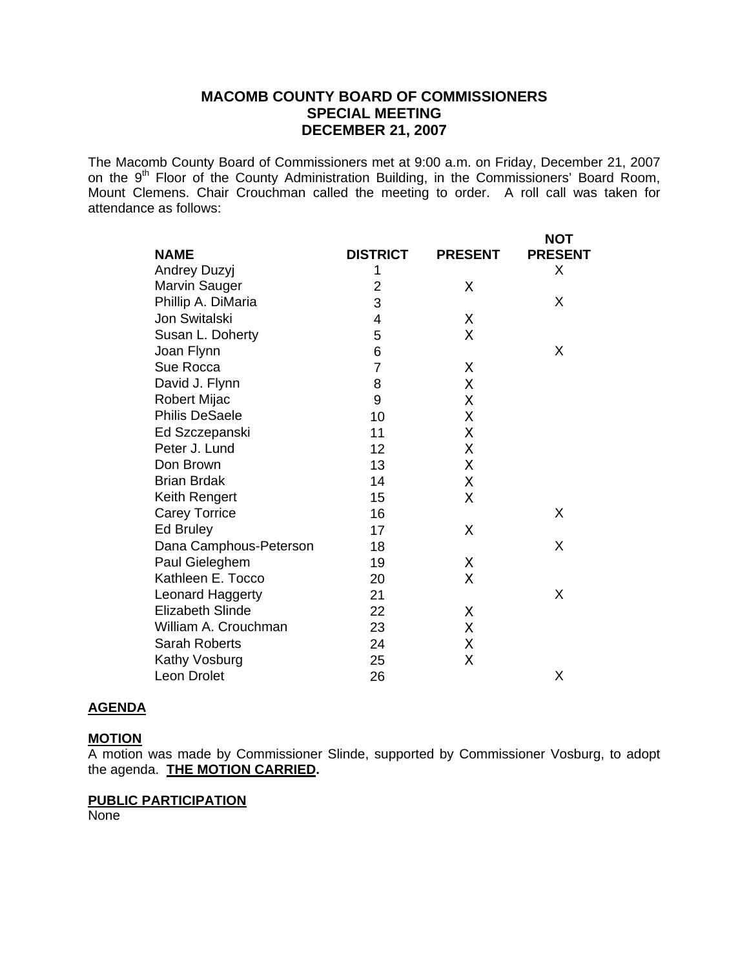# **MACOMB COUNTY BOARD OF COMMISSIONERS SPECIAL MEETING DECEMBER 21, 2007**

The Macomb County Board of Commissioners met at 9:00 a.m. on Friday, December 21, 2007 on the 9<sup>th</sup> Floor of the County Administration Building, in the Commissioners' Board Room, Mount Clemens. Chair Crouchman called the meeting to order. A roll call was taken for attendance as follows:

| <b>NAME</b>                   | <b>DISTRICT</b> |                | <b>NOT</b><br><b>PRESENT</b> |
|-------------------------------|-----------------|----------------|------------------------------|
|                               | 1               | <b>PRESENT</b> | X                            |
| Andrey Duzyj<br>Marvin Sauger | 2               | Χ              |                              |
| Phillip A. DiMaria            | 3               |                | X                            |
| Jon Switalski                 |                 |                |                              |
|                               | 4               | Χ              |                              |
| Susan L. Doherty              | 5               | Χ              | X                            |
| Joan Flynn                    | 6               |                |                              |
| Sue Rocca                     | $\overline{7}$  | Χ              |                              |
| David J. Flynn                | 8               | Χ              |                              |
| Robert Mijac                  | 9               | Χ              |                              |
| <b>Philis DeSaele</b>         | 10              | X              |                              |
| Ed Szczepanski                | 11              | X              |                              |
| Peter J. Lund                 | 12              | Χ              |                              |
| Don Brown                     | 13              | X              |                              |
| <b>Brian Brdak</b>            | 14              | Χ              |                              |
| Keith Rengert                 | 15              | Χ              |                              |
| <b>Carey Torrice</b>          | 16              |                | X                            |
| Ed Bruley                     | 17              | Χ              |                              |
| Dana Camphous-Peterson        | 18              |                | X                            |
| Paul Gieleghem                | 19              | Χ              |                              |
| Kathleen E. Tocco             | 20              | X              |                              |
| Leonard Haggerty              | 21              |                | X                            |
| <b>Elizabeth Slinde</b>       | 22              | Χ              |                              |
| William A. Crouchman          | 23              | χ              |                              |
| <b>Sarah Roberts</b>          | 24              | Χ              |                              |
| Kathy Vosburg                 | 25              | Χ              |                              |
| <b>Leon Drolet</b>            | 26              |                | X                            |

## **AGENDA**

#### **MOTION**

A motion was made by Commissioner Slinde, supported by Commissioner Vosburg, to adopt the agenda. **THE MOTION CARRIED.** 

#### **PUBLIC PARTICIPATION**

**None**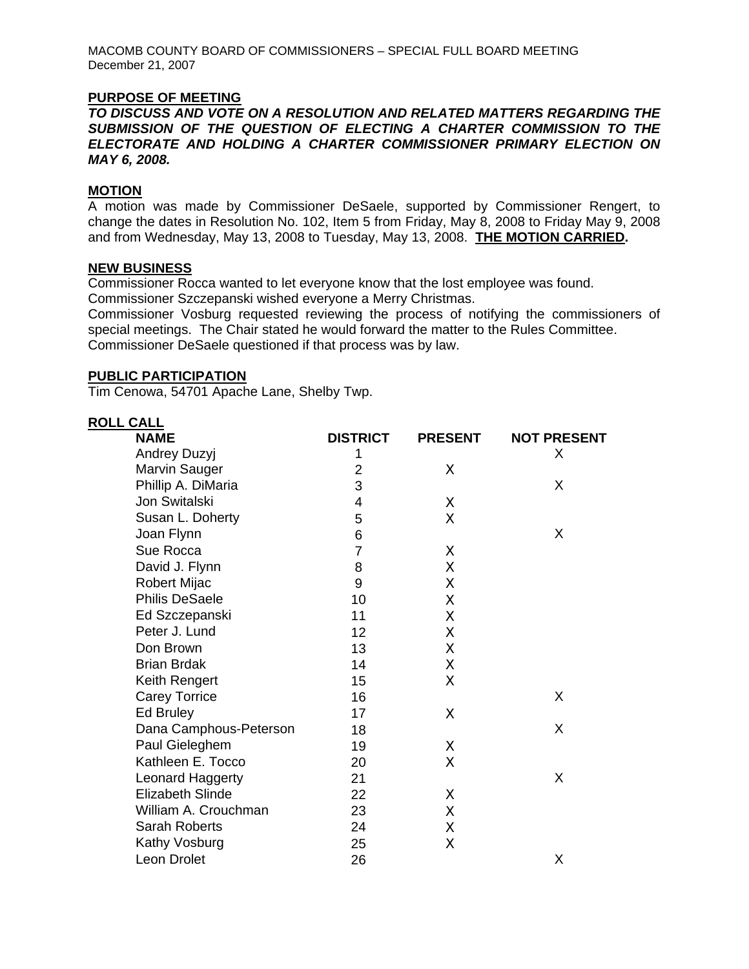MACOMB COUNTY BOARD OF COMMISSIONERS – SPECIAL FULL BOARD MEETING December 21, 2007

### **PURPOSE OF MEETING**

*TO DISCUSS AND VOTE ON A RESOLUTION AND RELATED MATTERS REGARDING THE SUBMISSION OF THE QUESTION OF ELECTING A CHARTER COMMISSION TO THE ELECTORATE AND HOLDING A CHARTER COMMISSIONER PRIMARY ELECTION ON MAY 6, 2008.* 

## **MOTION**

A motion was made by Commissioner DeSaele, supported by Commissioner Rengert, to change the dates in Resolution No. 102, Item 5 from Friday, May 8, 2008 to Friday May 9, 2008 and from Wednesday, May 13, 2008 to Tuesday, May 13, 2008. **THE MOTION CARRIED.** 

#### **NEW BUSINESS**

Commissioner Rocca wanted to let everyone know that the lost employee was found.

Commissioner Szczepanski wished everyone a Merry Christmas.

Commissioner Vosburg requested reviewing the process of notifying the commissioners of special meetings. The Chair stated he would forward the matter to the Rules Committee. Commissioner DeSaele questioned if that process was by law.

#### **PUBLIC PARTICIPATION**

Tim Cenowa, 54701 Apache Lane, Shelby Twp.

| <b>ROLL CALL</b>       |                 |                |                    |
|------------------------|-----------------|----------------|--------------------|
| <b>NAME</b>            | <b>DISTRICT</b> | <b>PRESENT</b> | <b>NOT PRESENT</b> |
| Andrey Duzyj           | 1               |                | X                  |
| <b>Marvin Sauger</b>   | 2               | X              |                    |
| Phillip A. DiMaria     | 3               |                | X                  |
| Jon Switalski          | 4               | Χ              |                    |
| Susan L. Doherty       | 5               | X              |                    |
| Joan Flynn             | 6               |                | X                  |
| Sue Rocca              | $\overline{7}$  | Χ              |                    |
| David J. Flynn         | 8               | X              |                    |
| Robert Mijac           | 9               | X              |                    |
| <b>Philis DeSaele</b>  | 10              | X              |                    |
| Ed Szczepanski         | 11              | X              |                    |
| Peter J. Lund          | 12              | Χ              |                    |
| Don Brown              | 13              | X              |                    |
| <b>Brian Brdak</b>     | 14              | X              |                    |
| Keith Rengert          | 15              | X              |                    |
| <b>Carey Torrice</b>   | 16              |                | X                  |
| Ed Bruley              | 17              | X              |                    |
| Dana Camphous-Peterson | 18              |                | X                  |
| Paul Gieleghem         | 19              | X              |                    |
| Kathleen E. Tocco      | 20              | Χ              |                    |
| Leonard Haggerty       | 21              |                | X                  |
| Elizabeth Slinde       | 22              | X              |                    |
| William A. Crouchman   | 23              | χ              |                    |
| <b>Sarah Roberts</b>   | 24              | Χ              |                    |
| Kathy Vosburg          | 25              | Χ              |                    |
| Leon Drolet            | 26              |                | Χ                  |